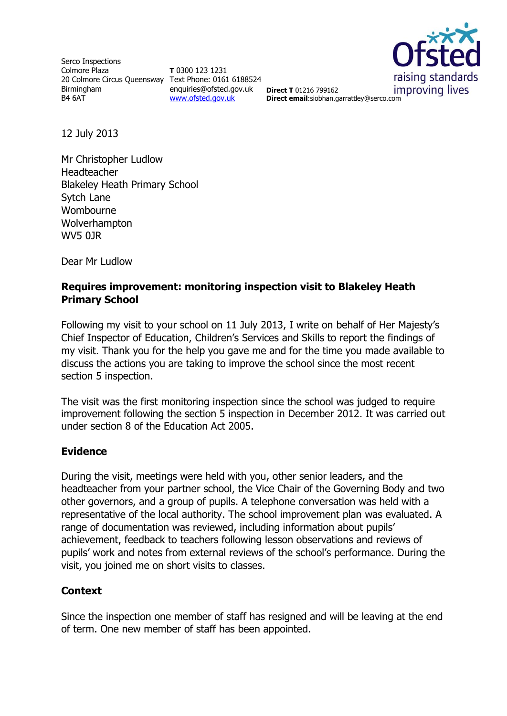Serco Inspections Colmore Plaza 20 Colmore Circus Queensway Text Phone: 0161 6188524 Birmingham B4 6AT

**T** 0300 123 1231 enquiries@ofsted.gov.uk [www.ofsted.gov.uk](http://www.ofsted.gov.uk/)



**Direct T** 01216 799162 **Direct email**:siobhan.garrattley@serco.com

12 July 2013

Mr Christopher Ludlow Headteacher Blakeley Heath Primary School Sytch Lane Wombourne Wolverhampton WV5 0JR

Dear Mr Ludlow

### **Requires improvement: monitoring inspection visit to Blakeley Heath Primary School**

Following my visit to your school on 11 July 2013, I write on behalf of Her Majesty's Chief Inspector of Education, Children's Services and Skills to report the findings of my visit. Thank you for the help you gave me and for the time you made available to discuss the actions you are taking to improve the school since the most recent section 5 inspection.

The visit was the first monitoring inspection since the school was judged to require improvement following the section 5 inspection in December 2012. It was carried out under section 8 of the Education Act 2005.

#### **Evidence**

During the visit, meetings were held with you, other senior leaders, and the headteacher from your partner school, the Vice Chair of the Governing Body and two other governors, and a group of pupils. A telephone conversation was held with a representative of the local authority. The school improvement plan was evaluated. A range of documentation was reviewed, including information about pupils' achievement, feedback to teachers following lesson observations and reviews of pupils' work and notes from external reviews of the school's performance. During the visit, you joined me on short visits to classes.

#### **Context**

Since the inspection one member of staff has resigned and will be leaving at the end of term. One new member of staff has been appointed.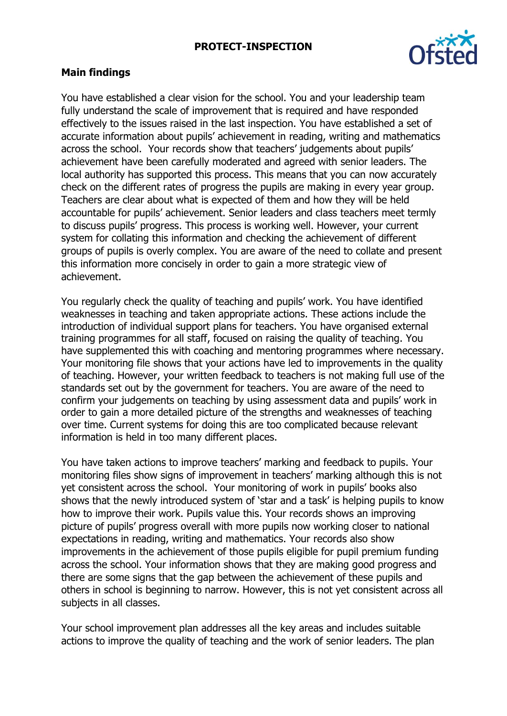#### **PROTECT-INSPECTION**



#### **Main findings**

You have established a clear vision for the school. You and your leadership team fully understand the scale of improvement that is required and have responded effectively to the issues raised in the last inspection. You have established a set of accurate information about pupils' achievement in reading, writing and mathematics across the school. Your records show that teachers' judgements about pupils' achievement have been carefully moderated and agreed with senior leaders. The local authority has supported this process. This means that you can now accurately check on the different rates of progress the pupils are making in every year group. Teachers are clear about what is expected of them and how they will be held accountable for pupils' achievement. Senior leaders and class teachers meet termly to discuss pupils' progress. This process is working well. However, your current system for collating this information and checking the achievement of different groups of pupils is overly complex. You are aware of the need to collate and present this information more concisely in order to gain a more strategic view of achievement.

You regularly check the quality of teaching and pupils' work. You have identified weaknesses in teaching and taken appropriate actions. These actions include the introduction of individual support plans for teachers. You have organised external training programmes for all staff, focused on raising the quality of teaching. You have supplemented this with coaching and mentoring programmes where necessary. Your monitoring file shows that your actions have led to improvements in the quality of teaching. However, your written feedback to teachers is not making full use of the standards set out by the government for teachers. You are aware of the need to confirm your judgements on teaching by using assessment data and pupils' work in order to gain a more detailed picture of the strengths and weaknesses of teaching over time. Current systems for doing this are too complicated because relevant information is held in too many different places.

You have taken actions to improve teachers' marking and feedback to pupils. Your monitoring files show signs of improvement in teachers' marking although this is not yet consistent across the school. Your monitoring of work in pupils' books also shows that the newly introduced system of 'star and a task' is helping pupils to know how to improve their work. Pupils value this. Your records shows an improving picture of pupils' progress overall with more pupils now working closer to national expectations in reading, writing and mathematics. Your records also show improvements in the achievement of those pupils eligible for pupil premium funding across the school. Your information shows that they are making good progress and there are some signs that the gap between the achievement of these pupils and others in school is beginning to narrow. However, this is not yet consistent across all subjects in all classes.

Your school improvement plan addresses all the key areas and includes suitable actions to improve the quality of teaching and the work of senior leaders. The plan